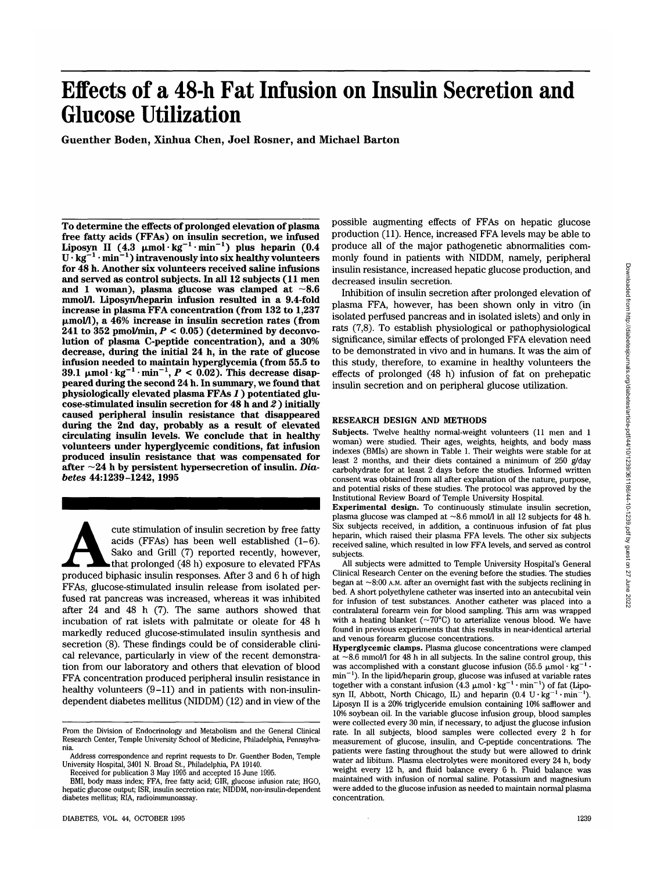# **Effects of a 48-h Fat Infusion on Insulin Secretion and Glucose Utilization**

Guenther Boden, Xinhua Chen, Joel Rosner, and Michael Barton

To determine the effects of prolonged elevation of plasma free fatty acids (FFAs) on insulin secretion, we infused Liposyn II  $(4.3 \mu \text{mol} \cdot \text{kg}^{-1} \cdot \text{min}^{-1})$  plus heparin  $(0.4 \mu \text{m} \cdot \text{m} \cdot \text{m} \cdot \text{m} \cdot \text{m} \cdot \text{m} \cdot \text{m} \cdot \text{m} \cdot \text{m} \cdot \text{m} \cdot \text{m} \cdot \text{m} \cdot \text{m} \cdot \text{m} \cdot \text{m} \cdot \text{m} \cdot \text{m} \cdot \text{m} \cdot \text{m} \cdot \text{m} \cdot \text{m} \cdot \text{m} \cdot \text$  $U \cdot kg^{-1} \cdot min^{-1}$ ) intravenously into six healthy volunteers for 48 h. Another six volunteers received saline infusions and served as control subjects. In all 12 subjects (11 men and 1 woman), plasma glucose was clamped at  $~1$ . mmol/1. Liposyn/heparin infusion resulted in a 9.4-fold increase in plasma FFA concentration (from 132 to 1,237  $\mu$ mol/l), a 46% increase in insulin secretion rates (from 241 to 352 pmol/min, *P <* 0.05) (determined by deconvolution of plasma C-peptide concentration), and a 30% decrease, during the initial 24 h, in the rate of glucose infusion needed to maintain hyperglycemia (from 55.5 to  $39.1 \mu$ mol·kg<sup>-1</sup>·min<sup>-1</sup>,  $P < 0.02$ ). This decrease disappeared during the second 24 h. In summary, we found that physiologically elevated plasma FFAs *1*) potentiated glucose-stimulated insulin secretion for 48 h and *2* ) initially caused peripheral insulin resistance that disappeared during the 2nd day, probably as a result of elevated circulating insulin levels. We conclude that in healthy volunteers under hyperglycemic conditions, fat infusion produced insulin resistance that was compensated for after ~24 h by persistent hypersecretion of insulin. *Diabetes* 44:1239-1242, 1995

cute stimulation of insulin secretion by free fatty<br>acids (FFAs) has been well established (1–6).<br>Sako and Grill (7) reported recently, however,<br>that prolonged (48 h) exposure to elevated FFAs<br>produced biphasic insulin res acids (FFAs) has been well established (1-6). Sako and Grill (7) reported recently, however, that prolonged (48 h) exposure to elevated FFAs FFAs, glucose-stimulated insulin release from isolated perfused rat pancreas was increased, whereas it was inhibited after 24 and 48 h (7). The same authors showed that incubation of rat islets with palmitate or oleate for 48 h markedly reduced glucose-stimulated insulin synthesis and secretion (8). These findings could be of considerable clinical relevance, particularly in view of the recent demonstration from our laboratory and others that elevation of blood FFA concentration produced peripheral insulin resistance in healthy volunteers (9-11) and in patients with non-insulindependent diabetes mellitus (NIDDM) (12) and in view of the possible augmenting effects of FFAs on hepatic glucose production (11). Hence, increased FFA levels may be able to produce all of the major pathogenetic abnormalities commonly found in patients with NIDDM, namely, peripheral insulin resistance, increased hepatic glucose production, and decreased insulin secretion.

Inhibition of insulin secretion after prolonged elevation of plasma FFA, however, has been shown only in vitro (in isolated perfused pancreas and in isolated islets) and only in rats (7,8). To establish physiological or pathophysiological significance, similar effects of prolonged FFA elevation need to be demonstrated in vivo and in humans. It was the aim of this study, therefore, to examine in healthy volunteers the effects of prolonged (48 h) infusion of fat on prehepatic insulin secretion and on peripheral glucose utilization.

#### **RESEARCH DESIGN AND METHODS**

**Subjects.** Twelve healthy normal-weight volunteers (11 men and 1 woman) were studied. Their ages, weights, heights, and body mass indexes (BMIs) are shown in Table 1. Their weights were stable for at least 2 months, and their diets contained a minimum of 250 g/day carbohydrate for at least 2 days before the studies. Informed written consent was obtained from all after explanation of the nature, purpose, and potential risks of these studies. The protocol was approved by the Institutional Review Board of Temple University Hospital.

Experimental design. To continuously stimulate insulin secretion, plasma glucose was clamped at  $~8.6$  mmol/l in all 12 subjects for 48 h. Six subjects received, in addition, a continuous infusion of fat plus heparin, which raised their plasma FFA levels. The other six subjects received saline, which resulted in low FFA levels, and served as control subjects.

All subjects were admitted to Temple University Hospital's General Clinical Research Center on the evening before the studies. The studies began at  $\sim$ 8:00 A.M. after an overnight fast with the subjects reclining in bed. A short polyethylene catheter was inserted into an antecubital vein for infusion of test substances. Another catheter was placed into a contralateral forearm vein for blood sampling. This arm was wrapped with a heating blanket ( $\sim 70^{\circ}$ C) to arterialize venous blood. We have found in previous experiments that this results in near-identical arterial and venous forearm glucose concentrations.

**Hyperglycemic clamps.** Plasma glucose concentrations were clamped at  $\sim$ 8.6 mmol/1 for 48 h in all subjects. In the saline control group, this was accomplished with a constant glucose infusion (55.5  $\mu$ mol·kg<sup>-1</sup> • min<sup>-1</sup>). In the lipid/heparin group, glucose was infused at variable rates together with a constant infusion  $(4.3 \mu \text{mol} \cdot \text{kg}^{-1} \cdot \text{min}^{-1})$  of fat (Liposyn II, Abbott, North Chicago, IL) and heparin  $(0.4 \text{ U} \cdot \text{kg}^{-1} \cdot \text{min}^{-1})$ . Liposyn II is a 20% triglyceride emulsion containing 10% safflower and 10% soybean oil. In the variable glucose infusion group, blood samples were collected every 30 min, if necessary, to adjust the glucose infusion rate. In all subjects, blood samples were collected every 2 h for measurement of glucose, insulin, and C-peptide concentrations. The patients were fasting throughout the study but were allowed to drink water ad libitum. Plasma electrolytes were monitored every 24 h, body weight every 12 h, and fluid balance every 6 h. Fluid balance was maintained with infusion of normal saline. Potassium and magnesium were added to the glucose infusion as needed to maintain normal plasma concentration.

From the Division of Endocrinology and Metabolism and the General Clinical Research Center, Temple University School of Medicine, Philadelphia, Pennsylvania.

Address correspondence and reprint requests to Dr. Guenther Boden, Temple University Hospital, 3401 N. Broad St., Philadelphia, PA 19140.

Received for publication 3 May 1995 and accepted 15 June 1995.

BMI, body mass index; FFA, free fatty acid; GIR, glucose infusion rate; HGO, hepatic glucose output; ISR, insulin secretion rate; NIDDM, non-insulin-dependent diabetes mellitus; RIA, radioimmunoassay.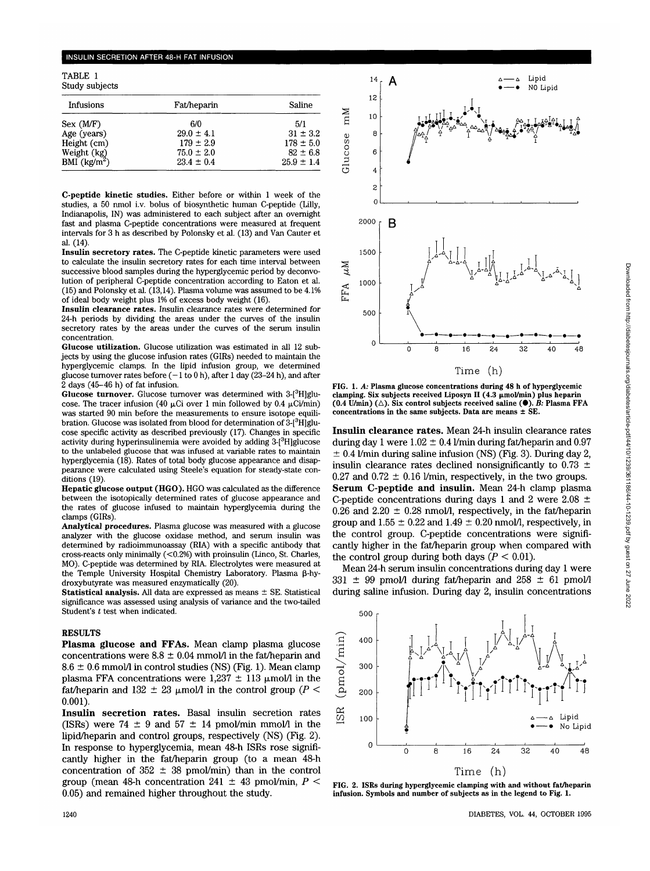#### INSULIN SECRETION AFTER 48-H FAT INFUSION

TABLE 1 Study subjects

| ovany onvolvou |                |                |
|----------------|----------------|----------------|
| Infusions      | Fat/heparin    | Saline         |
| Sex (MF)       | 6/0            | 5/1            |
| Age (years)    | $29.0 \pm 4.1$ | $31 \pm 3.2$   |
| Height (cm)    | $179 \pm 2.9$  | $178 \pm 5.0$  |
| Weight (kg)    | $75.0 \pm 2.0$ | $82 \pm 6.8$   |
| BMI $(kg/m^2)$ | $23.4 \pm 0.4$ | $25.9 \pm 1.4$ |

**C-peptide kinetic studies.** Either before or within 1 week of the studies, a 50 nmol i.v. bolus of biosynthetic human C-peptide (Lilly, Indianapolis, IN) was administered to each subject after an overnight fast and plasma C-peptide concentrations were measured at frequent intervals for 3 h as described by Polonsky et al. (13) and Van Cauter et al. (14).

**Insulin secretory rates.** The C-peptide kinetic parameters were used to calculate the insulin secretory rates for each time interval between successive blood samples during the hyperglycemic period by deconvolution of peripheral C-peptide concentration according to Eaton et al. (15) and Polonsky et al. (13,14). Plasma volume was assumed to be 4.1% of ideal body weight plus 1% of excess body weight (16).

**Insulin clearance rates.** Insulin clearance rates were determined for 24-h periods by dividing the areas under the curves of the insulin secretory rates by the areas under the curves of the serum insulin concentration.

**Glucose utilization.** Glucose utilization was estimated in all 12 subjects by using the glucose infusion rates (GIRs) needed to maintain the hyperglycemic clamps. In the lipid infusion group, we determined glucose turnover rates before  $(-1 \text{ to } 0 \text{ h})$ , after 1 day (23–24 h), and after 2 days (45-46 h) of fat infusion.

Glucose turnover. Glucose turnover was determined with 3-<sup>[3</sup>H]glucose. The tracer infusion (40  $\mu$ Ci over 1 min followed by 0.4  $\mu$ Ci/min) was started 90 min before the measurements to ensure isotope equilibration. Glucose was isolated from blood for determination of  $\rm \bar{3}\text{-}{}^{[3}H]$ glucose specific activity as described previously (17). Changes in specific activity during hyperinsulinemia were avoided by adding 3-[<sup>3</sup>H]glucose to the unlabeled glucose that was infused at variable rates to maintain hyperglycemia (18). Rates of total body glucose appearance and disappearance were calculated using Steele's equation for steady-state conditions (19).

**Hepatic glucose output (HGO).** HGO was calculated as the difference between the isotopically determined rates of glucose appearance and the rates of glucose infused to maintain hyperglycemia during the clamps (GIRs).

**Analytical procedures.** Plasma glucose was measured with a glucose analyzer with the glucose oxidase method, and serum insulin was determined by radioimmunoassay (RIA) with a specific antibody that cross-reacts only minimally (<0.2%) with proinsulin (Linco, St. Charles, MO). C-peptide was determined by RIA. Electrolytes were measured at the Temple University Hospital Chemistry Laboratory. Plasma p-hydroxybutyrate was measured enzymatically (20).

**Statistical analysis.** All data are expressed as means ± SE. Statistical significance was assessed using analysis of variance and the two-tailed Student's  $t$  test when indicated.

### **RESULTS**

**Plasma glucose and FFAs.** Mean clamp plasma glucose concentrations were  $8.8 \pm 0.04$  mmol/l in the fat/heparin and  $8.6 \pm 0.6$  mmol/l in control studies (NS) (Fig. 1). Mean clamp plasma FFA concentrations were  $1,237 \pm 113$  µmol/l in the fat/heparin and 132  $\pm$  23  $\mu$ mol/l in the control group (P < 0.001).

**Insulin secretion rates.** Basal insulin secretion rates (ISRs) were 74  $\pm$  9 and 57  $\pm$  14 pmol/min mmol/1 in the lipid/heparin and control groups, respectively (NS) (Fig. 2). In response to hyperglycemia, mean 48-h ISRs rose significantly higher in the fat/heparin group (to a mean 48-h concentration of  $352 \pm 38$  pmol/min) than in the control group (mean 48-h concentration 241 ± 43 pmol/min, *P <* 0.05) and remained higher throughout the study.



FIG. 1. *A:* Plasma glucose concentrations during 48 h of hyperglycemic clamping. Six subjects received Liposyn II (4.3 µmol/min) plus heparin (0.4 U/min)  $(\triangle)$ . Six control subjects received saline  $(\bullet)$ . *B*: Plasma FFA concentrations in the same subjects. Data are means ± SE.

**Insulin clearance rates.** Mean 24-h insulin clearance rates during day 1 were  $1.02 \pm 0.4$  l/min during fat/heparin and 0.97  $\pm$  0.4 *V* min during saline infusion (NS) (Fig. 3). During day 2, insulin clearance rates declined nonsignificantly to 0.73  $\pm$ 0.27 and 0.72  $\pm$  0.16 l/min, respectively, in the two groups. **Serum C-peptide and insulin.** Mean 24-h clamp plasma C-peptide concentrations during days 1 and 2 were 2.08  $\pm$ 0.26 and 2.20  $\pm$  0.28 nmol/l, respectively, in the fat/heparin group and  $1.55 \pm 0.22$  and  $1.49 \pm 0.20$  nmol/l, respectively, in the control group. C-peptide concentrations were significantly higher in the fat/heparin group when compared with the control group during both days  $(P < 0.01)$ .

Mean 24-h serum insulin concentrations during day 1 were 331  $\pm$  99 pmol/l during fat/heparin and 258  $\pm$  61 pmol/l during saline infusion. During day 2, insulin concentrations



**FIG. 2. ISRs during hyperglycemic clamping with and without fat/heparin** infusion. Symbols and number of subjects as in the legend to Fig. 1.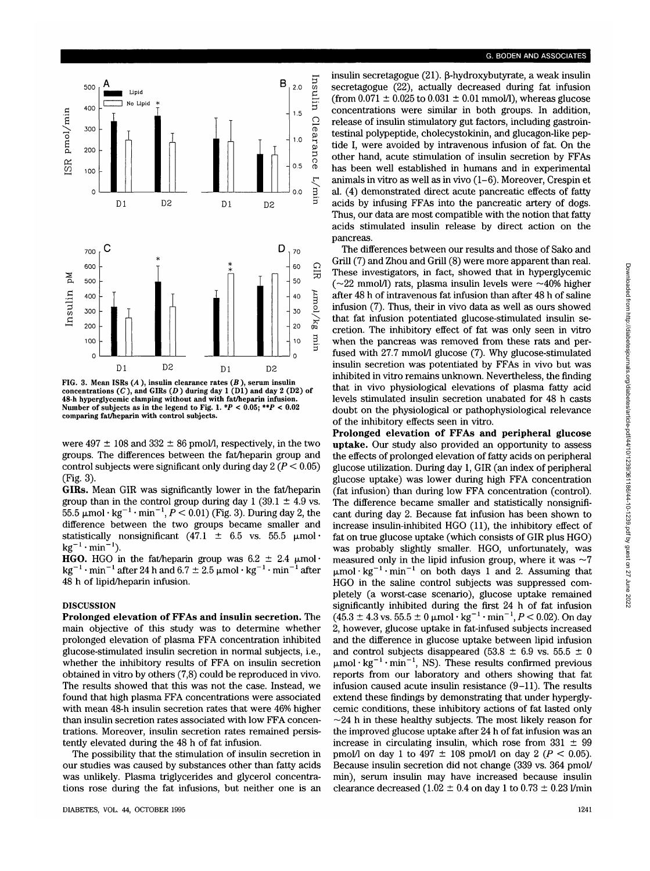### G. BODEN AND ASSOCIATES



FIG. 3. Mean ISRs  $(A)$ , insulin clearance rates  $(B)$ , serum insulin concentrations  $(C)$ , and GIRs  $(D)$  during day 1  $(D1)$  and day 2  $(D2)$  of 48-h hyperglycemic clamping without and with fat/heparin infusion. Number of subjects as in the legend to Fig. 1.  $*P < 0.05$ ;  $*P < 0.02$ comparing fat/heparin with control subjects.

were 497  $\pm$  108 and 332  $\pm$  86 pmol/l, respectively, in the two groups. The differences between the fat/heparin group and control subjects were significant only during day 2 *(P <* 0.05) (Fig. 3).

**GIRs.** Mean GIR was significantly lower in the fat/heparin group than in the control group during day 1 (39.1  $\pm$  4.9 vs.  $55.5 \mu$ mol·kg<sup>-1</sup>·min<sup>-1</sup>,  $P < 0.01$ ) (Fig. 3). During day 2, the difference between the two groups became smaller and statistically nonsignificant (47.1  $\pm$  6.5 vs. 55.5  $\mu$ mol·  $kg^{-1} \cdot min^{-1}$ ).

kg $^{-1}\cdot$  min $^{-1}$  after 24 h and 6.7  $\pm$  2.5  $\mu$ mol  $\cdot$  kg $^{-1}\cdot$  min $^{-1}$ **HGO.** HGO in the fat/heparin group was  $6.2 \pm 2.4$   $\mu$ mol· 48 h of lipid/heparin infusion.

## **DISCUSSION**

**Prolonged elevation of FFAs and insulin secretion.** The main objective of this study was to determine whether prolonged elevation of plasma FFA concentration inhibited glucose-stimulated insulin secretion in normal subjects, i.e., whether the inhibitory results of FFA on insulin secretion obtained in vitro by others (7,8) could be reproduced in vivo. The results showed that this was not the case. Instead, we found that high plasma FFA concentrations were associated with mean 48-h insulin secretion rates that were 46% higher than insulin secretion rates associated with low FFA concentrations. Moreover, insulin secretion rates remained persistently elevated during the 48 h of fat infusion.

The possibility that the stimulation of insulin secretion in our studies was caused by substances other than fatty acids was unlikely. Plasma triglycerides and glycerol concentrations rose during the fat infusions, but neither one is an

insulin secretagogue (21). B-hydroxybutyrate, a weak insulin secretagogue (22), actually decreased during fat infusion (from  $0.071 \pm 0.025$  to  $0.031 \pm 0.01$  mmol/l), whereas glucose concentrations were similar in both groups. In addition, release of insulin stimulatory gut factors, including gastrointestinal polypeptide, cholecystokinin, and glucagon-like peptide I, were avoided by intravenous infusion of fat. On the other hand, acute stimulation of insulin secretion by FFAs has been well established in humans and in experimental animals in vitro as well as in vivo (1-6). Moreover, Crespin et al. (4) demonstrated direct acute pancreatic effects of fatty acids by infusing FFAs into the pancreatic artery of dogs. Thus, our data are most compatible with the notion that fatty acids stimulated insulin release by direct action on the pancreas.

The differences between our results and those of Sako and Grill (7) and Zhou and Grill (8) were more apparent than real. These investigators, in fact, showed that in hyperglycemic  $(\sim 22 \text{ mmol/l})$  rats, plasma insulin levels were  $\sim 40\%$  higher after 48 h of intravenous fat infusion than after 48 h of saline infusion (7). Thus, their in vivo data as well as ours showed that fat infusion potentiated glucose-stimulated insulin secretion. The inhibitory effect of fat was only seen in vitro when the pancreas was removed from these rats and perfused with 27.7 mmol/1 glucose (7). Why glucose-stimulated insulin secretion was potentiated by FFAs in vivo but was inhibited in vitro remains unknown. Nevertheless, the finding that in vivo physiological elevations of plasma fatty acid levels stimulated insulin secretion unabated for 48 h casts doubt on the physiological or pathophysiological relevance of the inhibitory effects seen in vitro.

**Prolonged elevation of FFAs and peripheral glucose uptake.** Our study also provided an opportunity to assess the effects of prolonged elevation of fatty acids on peripheral glucose utilization. During day 1, GIR (an index of peripheral glucose uptake) was lower during high FFA concentration (fat infusion) than during low FFA concentration (control). The difference became smaller and statistically nonsignificant during day 2. Because fat infusion has been shown to increase insulin-inhibited HGO (11), the inhibitory effect of fat on true glucose uptake (which consists of GIR plus HGO) was probably slightly smaller. HGO, unfortunately, was measured only in the lipid infusion group, where it was  $\sim$ 7 after  $\mu$ mol·kg<sup>-1</sup>·min<sup>-1</sup> on both days 1 and 2. Assuming that HGO in the saline control subjects was suppressed completely (a worst-case scenario), glucose uptake remained significantly inhibited during the first 24 h of fat infusion  $(45.3 \pm 4.3 \text{ vs. } 55.5 \pm 0 \text{ }\mu\text{mol} \cdot \text{kg}^{-1} \cdot \text{min}^{-1}, P < 0.02)$ . On day 2, however, glucose uptake in fat-infused subjects increased and the difference in glucose uptake between lipid infusion and control subjects disappeared (53.8  $\pm$  6.9 vs. 55.5  $\pm$  0  $\mu$ mol·kg<sup>-1</sup>·min<sup>-1</sup>, NS). These results confirmed previous reports from our laboratory and others showing that fat infusion caused acute insulin resistance (9-11). The results extend these findings by demonstrating that under hyperglycemic conditions, these inhibitory actions of fat lasted only  $\sim$ 24 h in these healthy subjects. The most likely reason for the improved glucose uptake after 24 h of fat infusion was an increase in circulating insulin, which rose from  $331 \pm 99$ pmol/1 on day 1 to 497 ± 108 pmol/1 on day 2 *(P <* 0.05). Because insulin secretion did not change (339 vs. 364 pmol/ min), serum insulin may have increased because insulin clearance decreased (1.02  $\pm$  0.4 on day 1 to 0.73  $\pm$  0.23 l/min